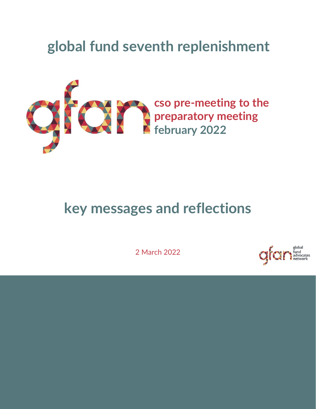### **global fund seventh replenishment**



### **key messages and reflections**

2 March 2022

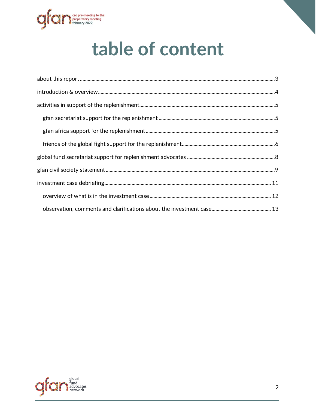

## table of content

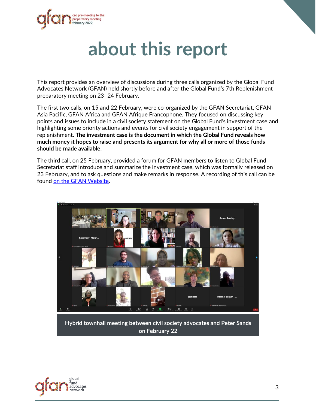<span id="page-2-0"></span>

## **about this report**

This report provides an overview of discussions during three calls organized by the Global Fund Advocates Network (GFAN) held shortly before and after the Global Fund's 7th Replenishment preparatory meeting on 23–24 February.

The first two calls, on 15 and 22 February, were co-organized by the GFAN Secretariat, GFAN Asia Pacific, GFAN Africa and GFAN Afrique Francophone. They focused on discussing key points and issues to include in a civil society statement on the Global Fund's investment case and highlighting some priority actions and events for civil society engagement in support of the replenishment. **The investment case is the document in which the Global Fund reveals how much money it hopes to raise and presents its argument for why all or more of those funds should be made available**.

The third call, on 25 February, provided a forum for GFAN members to listen to Global Fund Secretariat staff introduce and summarize the investment case, which was formally released on 23 February, and to ask questions and make remarks in response. A recording of this call can be found [on the GFAN Website.](https://www.globalfundadvocatesnetwork.org/about/notes-from-gfan-calls/)



**Hybrid townhall meeting between civil society advocates and Peter Sands on February 22**

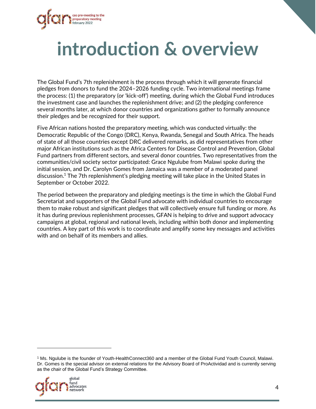

## <span id="page-3-0"></span>**introduction & overview**

The Global Fund's 7th replenishment is the process through which it will generate financial pledges from donors to fund the 2024–2026 funding cycle. Two international meetings frame the process: (1) the preparatory (or 'kick-off') meeting, during which the Global Fund introduces the investment case and launches the replenishment drive; and (2) the pledging conference several months later, at which donor countries and organizations gather to formally announce their pledges and be recognized for their support.

Five African nations hosted the preparatory meeting, which was conducted virtually: the Democratic Republic of the Congo (DRC), Kenya, Rwanda, Senegal and South Africa. The heads of state of all those countries except DRC delivered remarks, as did representatives from other major African institutions such as the Africa Centers for Disease Control and Prevention, Global Fund partners from different sectors, and several donor countries. Two representatives from the communities/civil society sector participated: Grace Ngulube from Malawi spoke during the initial session, and Dr. Carolyn Gomes from Jamaica was a member of a moderated panel discussion. <sup>1</sup> The 7th replenishment's pledging meeting will take place in the United States in September or October 2022.

The period between the preparatory and pledging meetings is the time in which the Global Fund Secretariat and supporters of the Global Fund advocate with individual countries to encourage them to make robust and significant pledges that will collectively ensure full funding or more. As it has during previous replenishment processes, GFAN is helping to drive and support advocacy campaigns at global, regional and national levels, including within both donor and implementing countries. A key part of this work is to coordinate and amplify some key messages and activities with and on behalf of its members and allies.

<sup>1</sup> Ms. Ngulube is the founder of Youth-HealthConnect360 and a member of the Global Fund Youth Council, Malawi. Dr. Gomes is the special advisor on external relations for the Advisory Board of ProActividad and is currently serving as the chair of the Global Fund's Strategy Committee.

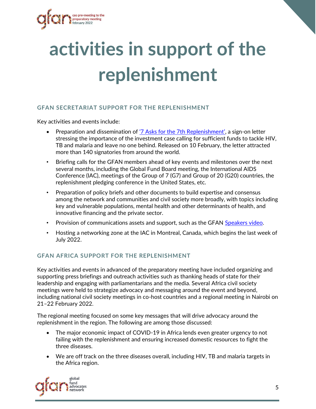

# <span id="page-4-0"></span>**activities in support of the replenishment**

### <span id="page-4-1"></span>**GFAN SECRETARIAT SUPPORT FOR THE REPLENISHMENT**

Key activities and events include:

- Preparation and dissemination of ['7 Asks for the 7th Replenishment'](https://www.globalfundadvocatesnetwork.org/7-asks-for-the-7th/), a sign-on letter stressing the importance of the investment case calling for sufficient funds to tackle HIV, TB and malaria and leave no one behind. Released on 10 February, the letter attracted more than 140 signatories from around the world.
- Briefing calls for the GFAN members ahead of key events and milestones over the next several months, including the Global Fund Board meeting, the International AIDS Conference (IAC), meetings of the Group of 7 (G7) and Group of 20 (G20) countries, the replenishment pledging conference in the United States, etc.
- Preparation of policy briefs and other documents to build expertise and consensus among the network and communities and civil society more broadly, with topics including key and vulnerable populations, mental health and other determinants of health, and innovative financing and the private sector.
- Provision of communications assets and support, such as the GFAN [Speakers video.](https://www.globalfundadvocatesnetwork.org/resource/gfan-speakers-bureau-fully-fund-the-global-fund-video-2022/)
- Hosting a networking zone at the IAC in Montreal, Canada, which begins the last week of July 2022.

### <span id="page-4-2"></span>**GFAN AFRICA SUPPORT FOR THE REPLENISHMENT**

Key activities and events in advanced of the preparatory meeting have included organizing and supporting press briefings and outreach activities such as thanking heads of state for their leadership and engaging with parliamentarians and the media. Several Africa civil society meetings were held to strategize advocacy and messaging around the event and beyond, including national civil society meetings in co-host countries and a regional meeting in Nairobi on 21–22 February 2022.

The regional meeting focused on some key messages that will drive advocacy around the replenishment in the region. The following are among those discussed:

- The major economic impact of COVID-19 in Africa lends even greater urgency to not failing with the replenishment and ensuring increased domestic resources to fight the three diseases.
- We are off track on the three diseases overall, including HIV, TB and malaria targets in the Africa region.

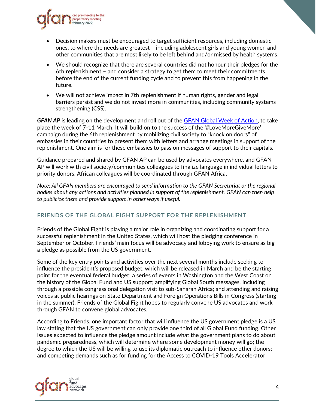

- Decision makers must be encouraged to target sufficient resources, including domestic ones, to where the needs are greatest – including adolescent girls and young women and other communities that are most likely to be left behind and/or missed by health systems.
- We should recognize that there are several countries did not honour their pledges for the 6th replenishment – and consider a strategy to get them to meet their commitments before the end of the current funding cycle and to prevent this from happening in the future.
- We will not achieve impact in 7th replenishment if human rights, gender and legal barriers persist and we do not invest more in communities, including community systems strengthening (CSS).

*GFAN AP* is leading on the development and roll out of the [GFAN Global Week of Action,](https://gfanasiapacific.org/powerofmore/) to take place the week of 7-11 March. It will build on to the success of the '#LoveMoreGiveMore' campaign during the 6th replenishment by mobilizing civil society to "knock on doors" of embassies in their countries to present them with letters and arrange meetings in support of the replenishment. One aim is for these embassies to pass on messages of support to their capitals.

Guidance prepared and shared by GFAN AP can be used by advocates everywhere, and GFAN AP will work with civil society/communities colleagues to finalize language in individual letters to priority donors. African colleagues will be coordinated through GFAN Africa.

*Note: All GFAN members are encouraged to send information to the GFAN Secretariat or the regional bodies about any actions and activities planned in support of the replenishment. GFAN can then help to publicize them and provide support in other ways if useful.*

### <span id="page-5-0"></span>**FRIENDS OF THE GLOBAL FIGHT SUPPORT FOR THE REPLENISHMENT**

Friends of the Global Fight is playing a major role in organizing and coordinating support for a successful replenishment in the United States, which will host the pledging conference in September or October. Friends' main focus will be advocacy and lobbying work to ensure as big a pledge as possible from the US government.

Some of the key entry points and activities over the next several months include seeking to influence the president's proposed budget, which will be released in March and be the starting point for the eventual federal budget; a series of events in Washington and the West Coast on the history of the Global Fund and US support; amplifying Global South messages, including through a possible congressional delegation visit to sub-Saharan Africa; and attending and raising voices at public hearings on State Department and Foreign Operations Bills in Congress (starting in the summer). Friends of the Global Fight hopes to regularly convene US advocates and work through GFAN to convene global advocates.

According to Friends, one important factor that will influence the US government pledge is a US law stating that the US government can only provide one third of all Global Fund funding. Other issues expected to influence the pledge amount include what the government plans to do about pandemic preparedness, which will determine where some development money will go; the degree to which the US will be willing to use its diplomatic outreach to influence other donors; and competing demands such as for funding for the Access to COVID-19 Tools Accelerator

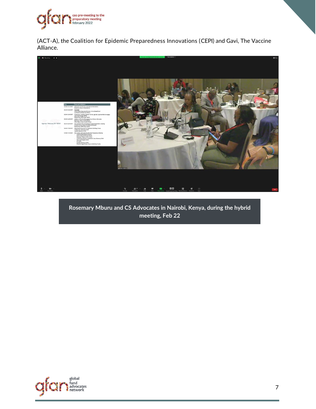

(ACT-A), the Coalition for Epidemic Preparedness Innovations (CEPI) and Gavi, The Vaccine Alliance.



**Rosemary Mburu and CS Advocates in Nairobi, Kenya, during the hybrid meeting, Feb 22**

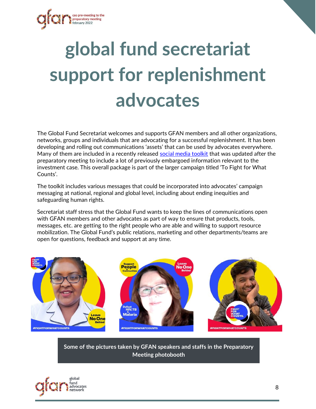

# <span id="page-7-0"></span>**global fund secretariat support for replenishment advocates**

The Global Fund Secretariat welcomes and supports GFAN members and all other organizations, networks, groups and individuals that are advocating for a successful replenishment. It has been developing and rolling out communications 'assets' that can be used by advocates everywhere. Many of them are included in a recently released [social media toolkit](https://express.adobe.com/page/U8q7peBdASEJa/) that was updated after the preparatory meeting to include a lot of previously embargoed information relevant to the investment case. This overall package is part of the larger campaign titled 'To Fight for What Counts'.

The toolkit includes various messages that could be incorporated into advocates' campaign messaging at national, regional and global level, including about ending inequities and safeguarding human rights.

Secretariat staff stress that the Global Fund wants to keep the lines of communications open with GFAN members and other advocates as part of way to ensure that products, tools, messages, etc. are getting to the right people who are able and willing to support resource mobilization. The Global Fund's public relations, marketing and other departments/teams are open for questions, feedback and support at any time.



**Some of the pictures taken by GFAN speakers and staffs in the Preparatory Meeting photobooth**

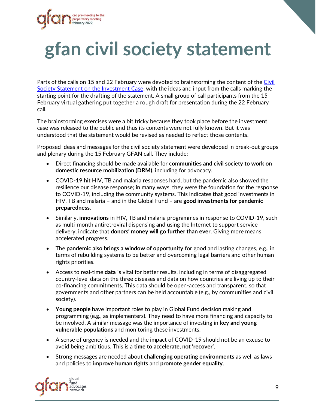

# <span id="page-8-0"></span>**gfan civil society statement**

Parts of the calls on 15 and 22 February were devoted to brainstorming the content of the [Civil](https://www.globalfundadvocatesnetwork.org/civil-society-statement-on-the-investment-case-for-the-7th-replenishment/)  [Society Statement on the Investment Case,](https://www.globalfundadvocatesnetwork.org/civil-society-statement-on-the-investment-case-for-the-7th-replenishment/) with the ideas and input from the calls marking the starting point for the drafting of the statement. A small group of call participants from the 15 February virtual gathering put together a rough draft for presentation during the 22 February call.

The brainstorming exercises were a bit tricky because they took place before the investment case was released to the public and thus its contents were not fully known. But it was understood that the statement would be revised as needed to reflect those contents.

Proposed ideas and messages for the civil society statement were developed in break-out groups and plenary during the 15 February GFAN call. They include:

- Direct financing should be made available for **communities and civil society to work on domestic resource mobilization (DRM)**, including for advocacy.
- COVID-19 hit HIV, TB and malaria responses hard, but the pandemic also showed the resilience our disease response; in many ways, they were the foundation for the response to COVID-19, including the community systems. This indicates that good investments in HIV, TB and malaria – and in the Global Fund – are **good investments for pandemic preparedness**.
- Similarly, **innovations** in HIV, TB and malaria programmes in response to COVID-19, such as multi-month antiretroviral dispensing and using the Internet to support service delivery, indicate that **donors' money will go further than ever**. Giving more means accelerated progress.
- The **pandemic also brings a window of opportunity** for good and lasting changes, e.g., in terms of rebuilding systems to be better and overcoming legal barriers and other human rights priorities.
- Access to real-time **data** is vital for better results, including in terms of disaggregated country-level data on the three diseases and data on how countries are living up to their co-financing commitments. This data should be open-access and transparent, so that governments and other partners can be held accountable (e.g., by communities and civil society).
- **Young people** have important roles to play in Global Fund decision making and programming (e.g., as implementers). They need to have more financing and capacity to be involved. A similar message was the importance of investing in **key and young vulnerable populations** and monitoring these investments.
- A sense of urgency is needed and the impact of COVID-19 should not be an excuse to avoid being ambitious. This is a **time to accelerate, not 'recover'**.
- Strong messages are needed about **challenging operating environments** as well as laws and policies to **improve human rights** and **promote gender equality**.

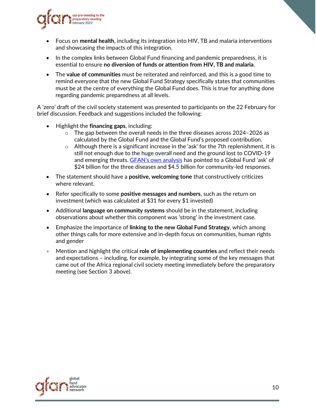

- Focus on **mental health**, including its integration into HIV, TB and malaria interventions and showcasing the impacts of this integration.
- In the complex links between Global Fund financing and pandemic preparedness, it is essential to ensure **no diversion of funds or attention from HIV, TB and malaria**.
- The **value of communities** must be reiterated and reinforced, and this is a good time to remind everyone that the new Global Fund Strategy specifically states that communities must be at the centre of everything the Global Fund does. This is true for anything done regarding pandemic preparedness at all levels.

A 'zero' draft of the civil society statement was presented to participants on the 22 February for brief discussion. Feedback and suggestions included the following:

- Highlight the **financing gaps**, including:
	- $\circ$  The gap between the overall needs in the three diseases across 2024–2026 as calculated by the Global Fund and the Global Fund's proposed contribution.
	- $\circ$  Although there is a significant increase in the 'ask' for the 7th replenishment, it is still not enough due to the huge overall need and the ground lost to COVID-19 and emerging threats. [GFAN's own analysis](https://www.globalfundadvocatesnetwork.org/fully-fund-the-global-fund-get-back-on-track-to-end-aids-tb-and-malaria-in-a-covid-world/) has pointed to a Global Fund 'ask' of \$24 billion for the three diseases and \$4.5 billion for community-led responses.
- The statement should have a **positive, welcoming tone** that constructively criticizes where relevant.
- Refer specifically to some **positive messages and numbers**, such as the return on investment (which was calculated at \$31 for every \$1 invested)
- Additional **language on community systems** should be in the statement, including observations about whether this component was 'strong' in the investment case.
- Emphasize the importance of **linking to the new Global Fund Strategy**, which among other things calls for more extensive and in-depth focus on communities, human rights and gender
- Mention and highlight the critical **role of implementing countries** and reflect their needs and expectations – including, for example, by integrating some of the key messages that came out of the Africa regional civil society meeting immediately before the preparatory meeting (see Section 3 above).

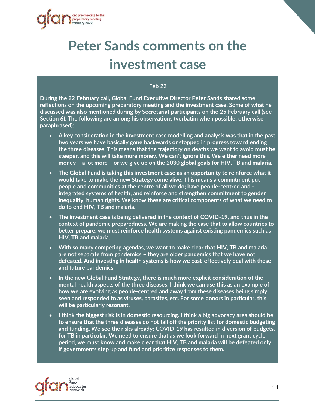<span id="page-10-0"></span>

### **Peter Sands comments on the investment case**

#### **Feb 22**

**During the 22 February call, Global Fund Executive Director Peter Sands shared some reflections on the upcoming preparatory meeting and the investment case. Some of what he discussed was also mentioned during by Secretariat participants on the 25 February call (see Section 6). The following are among his observations (verbatim when possible; otherwise paraphrased):**

- **A key consideration in the investment case modelling and analysis was that in the past two years we have basically gone backwards or stopped in progress toward ending the three diseases. This means that the trajectory on deaths we want to avoid must be steeper, and this will take more money. We can't ignore this. We either need more money – a lot more – or we give up on the 2030 global goals for HIV, TB and malaria.**
- **The Global Fund is taking this investment case as an opportunity to reinforce what it would take to make the new Strategy come alive. This means a commitment put people and communities at the centre of all we do; have people-centred and integrated systems of health; and reinforce and strengthen commitment to gender inequality, human rights. We know these are critical components of what we need to do to end HIV, TB and malaria.**
- **The investment case is being delivered in the context of COVID-19, and thus in the context of pandemic preparedness. We are making the case that to allow countries to better prepare, we must reinforce health systems against existing pandemics such as HIV, TB and malaria.**
- **With so many competing agendas, we want to make clear that HIV, TB and malaria are not separate from pandemics – they are older pandemics that we have not defeated. And investing in health systems is how we cost-effectively deal with these and future pandemics.**
- **In the new Global Fund Strategy, there is much more explicit consideration of the mental health aspects of the three diseases. I think we can use this as an example of how we are evolving as people-centred and away from these diseases being simply seen and responded to as viruses, parasites, etc. For some donors in particular, this will be particularly resonant.**
- **I think the biggest risk is in domestic resourcing. I think a big advocacy area should be to ensure that the three diseases do not fall off the priority list for domestic budgeting and funding. We see the risks already; COVID-19 has resulted in diversion of budgets, for TB in particular. We need to ensure that as we look forward in next grant cycle period, we must know and make clear that HIV, TB and malaria will be defeated only if governments step up and fund and prioritize responses to them.**

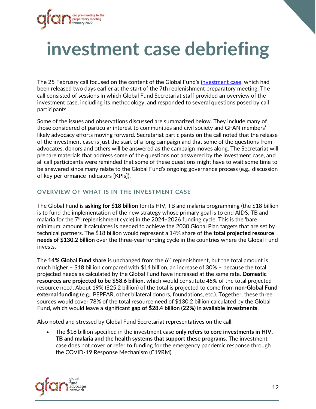

## **investment case debriefing**

The 25 February call focused on the content of the Global Fund's [investment case,](https://www.theglobalfund.org/en/fight-for-what-counts/) which had been released two days earlier at the start of the 7th replenishment preparatory meeting. The call consisted of sessions in which Global Fund Secretariat staff provided an overview of the investment case, including its methodology, and responded to several questions posed by call participants.

Some of the issues and observations discussed are summarized below. They include many of those considered of particular interest to communities and civil society and GFAN members' likely advocacy efforts moving forward. Secretariat participants on the call noted that the release of the investment case is just the start of a long campaign and that some of the questions from advocates, donors and others will be answered as the campaign moves along. The Secretariat will prepare materials that address some of the questions not answered by the investment case, and all call participants were reminded that some of these questions might have to wait some time to be answered since many relate to the Global Fund's ongoing governance process (e.g., discussion of key performance indicators [KPIs]).

### <span id="page-11-0"></span>**OVERVIEW OF WHAT IS IN THE INVESTMENT CASE**

The Global Fund is **asking for \$18 billion** for its HIV, TB and malaria programming (the \$18 billion is to fund the implementation of the new strategy whose primary goal is to end AIDS, TB and malaria for the  $7<sup>th</sup>$  replenishment cycle) in the 2024–2026 funding cycle. This is the 'bare minimum' amount it calculates is needed to achieve the 2030 Global Plan targets that are set by technical partners. The \$18 billion would represent a 14% share of the **total projected resource needs of \$130.2 billion** over the three-year funding cycle in the countries where the Global Fund invests.

The 14% Global Fund share is unchanged from the 6<sup>th</sup> replenishment, but the total amount is much higher – \$18 billion compared with \$14 billion, an increase of 30% – because the total projected needs as calculated by the Global Fund have increased at the same rate. **Domestic resources are projected to be \$58.6 billion**, which would constitute 45% of the total projected resource need. About 19% (\$25.2 billion) of the total is projected to come from **non-Global Fund external funding** (e.g., PEPFAR, other bilateral donors, foundations, etc.). Together, these three sources would cover 78% of the total resource need of \$130.2 billion calculated by the Global Fund, which would leave a significant **gap of \$28.4 billion (22%) in available investments**.

Also noted and stressed by Global Fund Secretariat representatives on the call:

• The \$18 billion specified in the investment case **only refers to core investments in HIV, TB and malaria and the health systems that support these programs.** The investment case does not cover or refer to funding for the emergency pandemic response through the COVID-19 Response Mechanism (C19RM).

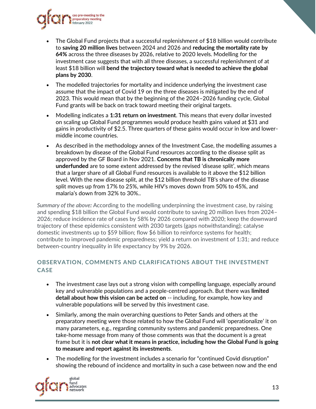

- The Global Fund projects that a successful replenishment of \$18 billion would contribute to **saving 20 million lives** between 2024 and 2026 and **reducing the mortality rate by 64%** across the three diseases by 2026, relative to 2020 levels. Modelling for the investment case suggests that with all three diseases, a successful replenishment of at least \$18 billion will **bend the trajectory toward what is needed to achieve the global plans by 2030**.
- The modelled trajectories for mortality and incidence underlying the investment case assume that the impact of Covid 19 on the three diseases is mitigated by the end of 2023. This would mean that by the beginning of the 2024–2026 funding cycle, Global Fund grants will be back on track toward meeting their original targets.
- Modelling indicates a **1:31 return on investment**. This means that every dollar invested on scaling up Global Fund programmes would produce health gains valued at \$31 and gains in productivity of \$2.5. Three quarters of these gains would occur in low and lowermiddle income countries.
- As described in the methodology annex of the Investment Case, the modelling assumes a breakdown by disease of the Global Fund resources according to the disease split as approved by the GF Board in Nov 2021. **Concerns that TB is chronically more underfunded** are to some extent addressed by the revised 'disease split', which means that a larger share of all Global Fund resources is available to it above the \$12 billion level. With the new disease split, at the \$12 billion threshold TB's share of the disease split moves up from 17% to 25%, while HIV's moves down from 50% to 45%, and malaria's down from 32% to 30%..

*Summary of the above:* According to the modelling underpinning the investment case, by raising and spending \$18 billion the Global Fund would contribute to saving 20 million lives from 2024– 2026; reduce incidence rate of cases by 58% by 2026 compared with 2020; keep the downward trajectory of these epidemics consistent with 2030 targets (gaps notwithstanding); catalyse domestic investments up to \$59 billion; flow \$6 billion to reinforce systems for health; contribute to improved pandemic preparedness; yield a return on investment of 1:31; and reduce between-country inequality in life expectancy by 9% by 2026.

### <span id="page-12-0"></span>**OBSERVATION, COMMENTS AND CLARIFICATIONS ABOUT THE INVESTMENT CASE**

- The investment case lays out a strong vision with compelling language, especially around key and vulnerable populations and a people-centred approach. But there was **limited detail about how this vision can be acted on** -- including, for example, how key and vulnerable populations will be served by this investment case.
- Similarly, among the main overarching questions to Peter Sands and others at the preparatory meeting were those related to how the Global Fund will 'operationalize' it on many parameters, e.g., regarding community systems and pandemic preparedness. One take-home message from many of those comments was that the document is a great frame but it is **not clear what it means in practice, including how the Global Fund is going to measure and report against its investments**.
- The modelling for the investment includes a scenario for "continued Covid disruption" showing the rebound of incidence and mortality in such a case between now and the end